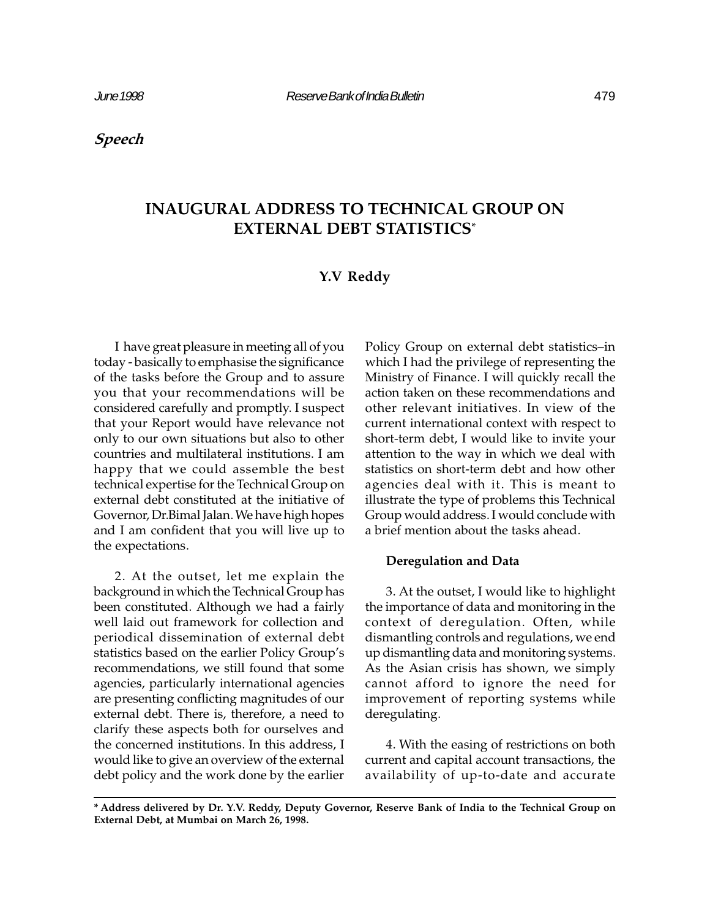Speech

# INAUGURAL ADDRESS TO TECHNICAL GROUP ON EXTERNAL DEBT STATISTICS\*

# Y.V Reddy

I have great pleasure in meeting all of you today - basically to emphasise the significance of the tasks before the Group and to assure you that your recommendations will be considered carefully and promptly. I suspect that your Report would have relevance not only to our own situations but also to other countries and multilateral institutions. I am happy that we could assemble the best technical expertise for the Technical Group on external debt constituted at the initiative of Governor, Dr.Bimal Jalan. We have high hopes and I am confident that you will live up to the expectations.

2. At the outset, let me explain the background in which the Technical Group has been constituted. Although we had a fairly well laid out framework for collection and periodical dissemination of external debt statistics based on the earlier Policy Group's recommendations, we still found that some agencies, particularly international agencies are presenting conflicting magnitudes of our external debt. There is, therefore, a need to clarify these aspects both for ourselves and the concerned institutions. In this address, I would like to give an overview of the external debt policy and the work done by the earlier

Policy Group on external debt statistics-in which I had the privilege of representing the Ministry of Finance. I will quickly recall the action taken on these recommendations and other relevant initiatives. In view of the current international context with respect to short-term debt, I would like to invite your attention to the way in which we deal with statistics on short-term debt and how other agencies deal with it. This is meant to illustrate the type of problems this Technical Group would address. I would conclude with a brief mention about the tasks ahead.

## Deregulation and Data

3. At the outset, I would like to highlight the importance of data and monitoring in the context of deregulation. Often, while dismantling controls and regulations, we end up dismantling data and monitoring systems. As the Asian crisis has shown, we simply cannot afford to ignore the need for improvement of reporting systems while deregulating.

4. With the easing of restrictions on both current and capital account transactions, the availability of up-to-date and accurate

<sup>\*</sup> Address delivered by Dr. Y.V. Reddy, Deputy Governor, Reserve Bank of India to the Technical Group on External Debt, at Mumbai on March 26, 1998.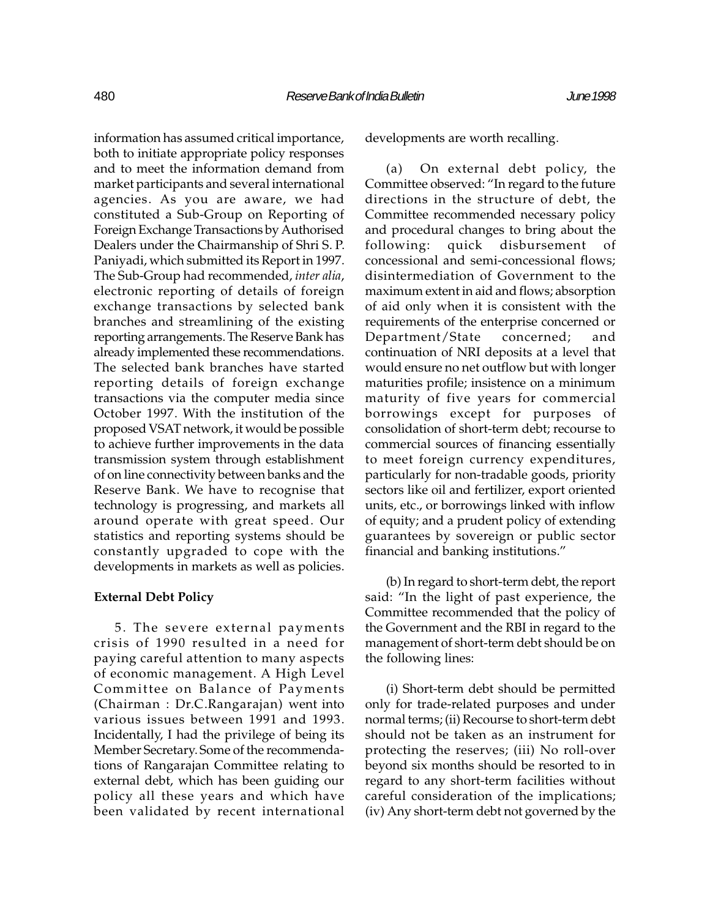information has assumed critical importance, both to initiate appropriate policy responses and to meet the information demand from market participants and several international agencies. As you are aware, we had constituted a Sub-Group on Reporting of Foreign Exchange Transactions by Authorised Dealers under the Chairmanship of Shri S. P. Paniyadi, which submitted its Report in 1997. The Sub-Group had recommended, inter alia, electronic reporting of details of foreign exchange transactions by selected bank branches and streamlining of the existing reporting arrangements. The Reserve Bank has already implemented these recommendations. The selected bank branches have started reporting details of foreign exchange transactions via the computer media since October 1997. With the institution of the proposed VSAT network, it would be possible to achieve further improvements in the data transmission system through establishment of on line connectivity between banks and the Reserve Bank. We have to recognise that technology is progressing, and markets all around operate with great speed. Our statistics and reporting systems should be constantly upgraded to cope with the developments in markets as well as policies.

#### External Debt Policy

5. The severe external payments crisis of 1990 resulted in a need for paying careful attention to many aspects of economic management. A High Level Committee on Balance of Payments (Chairman : Dr.C.Rangarajan) went into various issues between 1991 and 1993. Incidentally, I had the privilege of being its Member Secretary. Some of the recommendations of Rangarajan Committee relating to external debt, which has been guiding our policy all these years and which have been validated by recent international developments are worth recalling.

(a) On external debt policy, the Committee observed: "In regard to the future directions in the structure of debt, the Committee recommended necessary policy and procedural changes to bring about the following: quick disbursement of concessional and semi-concessional flows; disintermediation of Government to the maximum extent in aid and flows; absorption of aid only when it is consistent with the requirements of the enterprise concerned or Department/State concerned; and continuation of NRI deposits at a level that would ensure no net outflow but with longer maturities profile; insistence on a minimum maturity of five years for commercial borrowings except for purposes of consolidation of short-term debt; recourse to commercial sources of financing essentially to meet foreign currency expenditures, particularly for non-tradable goods, priority sectors like oil and fertilizer, export oriented units, etc., or borrowings linked with inflow of equity; and a prudent policy of extending guarantees by sovereign or public sector financial and banking institutions.

(b) In regard to short-term debt, the report said: "In the light of past experience, the Committee recommended that the policy of the Government and the RBI in regard to the management of short-term debt should be on the following lines:

(i) Short-term debt should be permitted only for trade-related purposes and under normal terms; (ii) Recourse to short-term debt should not be taken as an instrument for protecting the reserves; (iii) No roll-over beyond six months should be resorted to in regard to any short-term facilities without careful consideration of the implications; (iv) Any short-term debt not governed by the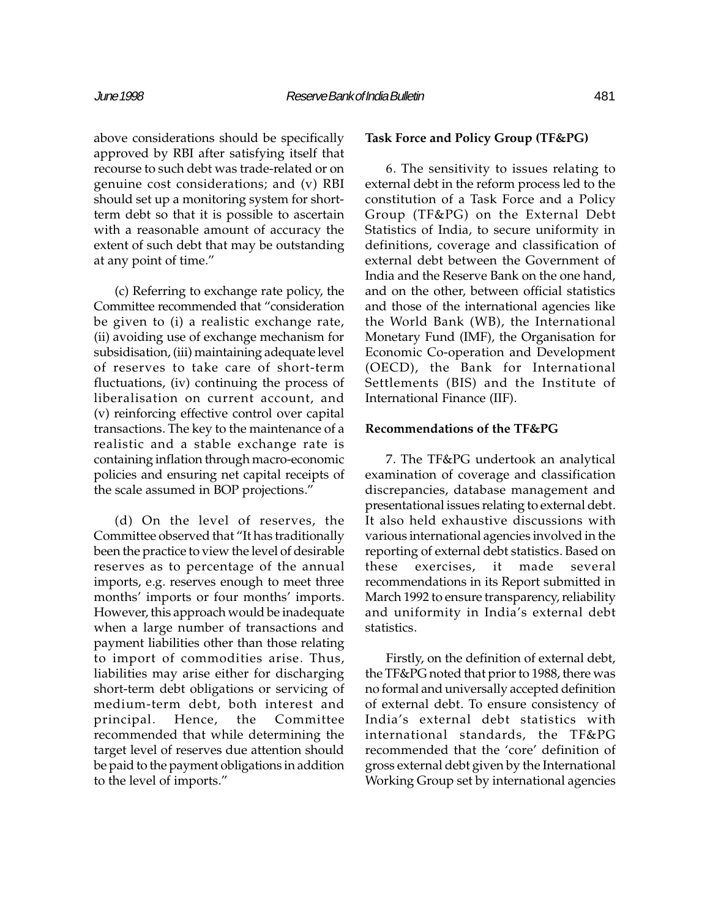above considerations should be specifically approved by RBI after satisfying itself that recourse to such debt was trade-related or on genuine cost considerations; and (v) RBI should set up a monitoring system for shortterm debt so that it is possible to ascertain with a reasonable amount of accuracy the extent of such debt that may be outstanding at any point of time.

(c) Referring to exchange rate policy, the Committee recommended that "consideration be given to (i) a realistic exchange rate, (ii) avoiding use of exchange mechanism for subsidisation, (iii) maintaining adequate level of reserves to take care of short-term fluctuations, (iv) continuing the process of liberalisation on current account, and (v) reinforcing effective control over capital transactions. The key to the maintenance of a realistic and a stable exchange rate is containing inflation through macro-economic policies and ensuring net capital receipts of the scale assumed in BOP projections.

(d) On the level of reserves, the Committee observed that "It has traditionally been the practice to view the level of desirable reserves as to percentage of the annual imports, e.g. reserves enough to meet three months' imports or four months' imports. However, this approach would be inadequate when a large number of transactions and payment liabilities other than those relating to import of commodities arise. Thus, liabilities may arise either for discharging short-term debt obligations or servicing of medium-term debt, both interest and principal. Hence, the Committee recommended that while determining the target level of reserves due attention should be paid to the payment obligations in addition to the level of imports.

### Task Force and Policy Group (TF&PG)

6. The sensitivity to issues relating to external debt in the reform process led to the constitution of a Task Force and a Policy Group (TF&PG) on the External Debt Statistics of India, to secure uniformity in definitions, coverage and classification of external debt between the Government of India and the Reserve Bank on the one hand, and on the other, between official statistics and those of the international agencies like the World Bank (WB), the International Monetary Fund (IMF), the Organisation for Economic Co-operation and Development (OECD), the Bank for International Settlements (BIS) and the Institute of International Finance (IIF).

#### Recommendations of the TF&PG

7. The TF&PG undertook an analytical examination of coverage and classification discrepancies, database management and presentational issues relating to external debt. It also held exhaustive discussions with various international agencies involved in the reporting of external debt statistics. Based on these exercises, it made several recommendations in its Report submitted in March 1992 to ensure transparency, reliability and uniformity in India's external debt statistics.

Firstly, on the definition of external debt, the TF&PG noted that prior to 1988, there was no formal and universally accepted definition of external debt. To ensure consistency of India's external debt statistics with international standards, the TF&PG recommended that the 'core' definition of gross external debt given by the International Working Group set by international agencies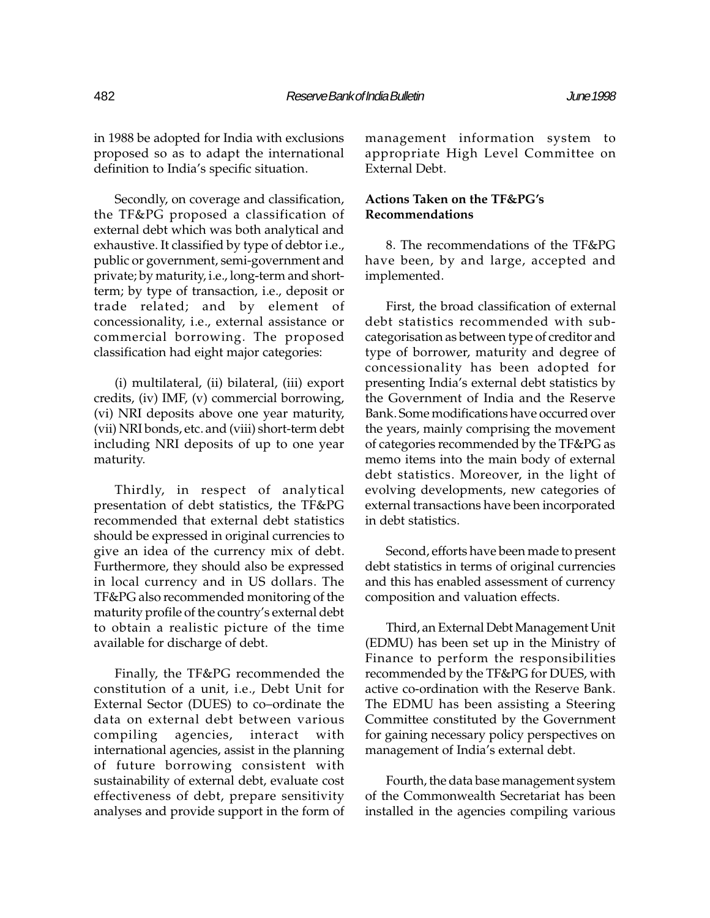in 1988 be adopted for India with exclusions proposed so as to adapt the international definition to India's specific situation.

Secondly, on coverage and classification, the TF&PG proposed a classification of external debt which was both analytical and exhaustive. It classified by type of debtor i.e., public or government, semi-government and private; by maturity, i.e., long-term and shortterm; by type of transaction, i.e., deposit or trade related; and by element of concessionality, i.e., external assistance or commercial borrowing. The proposed classification had eight major categories:

(i) multilateral, (ii) bilateral, (iii) export credits, (iv) IMF, (v) commercial borrowing, (vi) NRI deposits above one year maturity, (vii) NRI bonds, etc. and (viii) short-term debt including NRI deposits of up to one year maturity.

Thirdly, in respect of analytical presentation of debt statistics, the TF&PG recommended that external debt statistics should be expressed in original currencies to give an idea of the currency mix of debt. Furthermore, they should also be expressed in local currency and in US dollars. The TF&PG also recommended monitoring of the maturity profile of the country's external debt to obtain a realistic picture of the time available for discharge of debt.

Finally, the TF&PG recommended the constitution of a unit, i.e., Debt Unit for External Sector (DUES) to co-ordinate the data on external debt between various compiling agencies, interact with international agencies, assist in the planning of future borrowing consistent with sustainability of external debt, evaluate cost effectiveness of debt, prepare sensitivity analyses and provide support in the form of management information system to appropriate High Level Committee on External Debt.

# Actions Taken on the TF&PG's Recommendations

8. The recommendations of the TF&PG have been, by and large, accepted and implemented.

First, the broad classification of external debt statistics recommended with subcategorisation as between type of creditor and type of borrower, maturity and degree of concessionality has been adopted for presenting India's external debt statistics by the Government of India and the Reserve Bank. Some modifications have occurred over the years, mainly comprising the movement of categories recommended by the TF&PG as memo items into the main body of external debt statistics. Moreover, in the light of evolving developments, new categories of external transactions have been incorporated in debt statistics.

Second, efforts have been made to present debt statistics in terms of original currencies and this has enabled assessment of currency composition and valuation effects.

Third, an External Debt Management Unit (EDMU) has been set up in the Ministry of Finance to perform the responsibilities recommended by the TF&PG for DUES, with active co-ordination with the Reserve Bank. The EDMU has been assisting a Steering Committee constituted by the Government for gaining necessary policy perspectives on management of India's external debt.

Fourth, the data base management system of the Commonwealth Secretariat has been installed in the agencies compiling various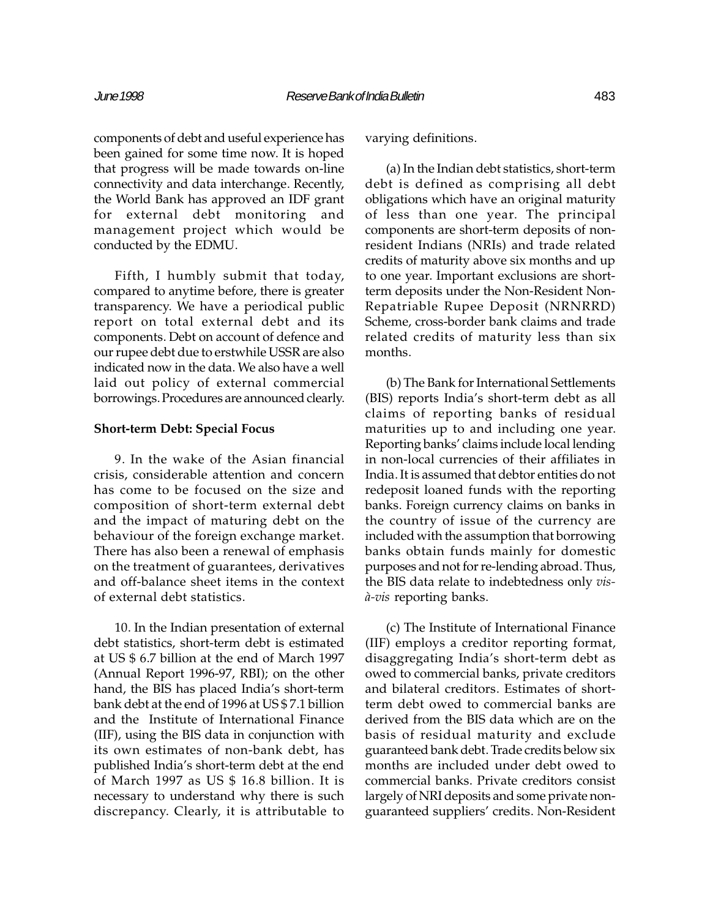components of debt and useful experience has been gained for some time now. It is hoped that progress will be made towards on-line connectivity and data interchange. Recently, the World Bank has approved an IDF grant for external debt monitoring and management project which would be conducted by the EDMU.

Fifth, I humbly submit that today, compared to anytime before, there is greater transparency. We have a periodical public report on total external debt and its components. Debt on account of defence and our rupee debt due to erstwhile USSR are also indicated now in the data. We also have a well laid out policy of external commercial borrowings. Procedures are announced clearly.

#### Short-term Debt: Special Focus

9. In the wake of the Asian financial crisis, considerable attention and concern has come to be focused on the size and composition of short-term external debt and the impact of maturing debt on the behaviour of the foreign exchange market. There has also been a renewal of emphasis on the treatment of guarantees, derivatives and off-balance sheet items in the context of external debt statistics.

10. In the Indian presentation of external debt statistics, short-term debt is estimated at US \$ 6.7 billion at the end of March 1997 (Annual Report 1996-97, RBI); on the other hand, the BIS has placed India's short-term bank debt at the end of 1996 at US \$ 7.1 billion and the Institute of International Finance (IIF), using the BIS data in conjunction with its own estimates of non-bank debt, has published India's short-term debt at the end of March 1997 as US \$ 16.8 billion. It is necessary to understand why there is such discrepancy. Clearly, it is attributable to

varying definitions.

(a) In the Indian debt statistics, short-term debt is defined as comprising all debt obligations which have an original maturity of less than one year. The principal components are short-term deposits of nonresident Indians (NRIs) and trade related credits of maturity above six months and up to one year. Important exclusions are shortterm deposits under the Non-Resident Non-Repatriable Rupee Deposit (NRNRRD) Scheme, cross-border bank claims and trade related credits of maturity less than six months.

(b) The Bank for International Settlements (BIS) reports India's short-term debt as all claims of reporting banks of residual maturities up to and including one year. Reporting banks' claims include local lending in non-local currencies of their affiliates in India. It is assumed that debtor entities do not redeposit loaned funds with the reporting banks. Foreign currency claims on banks in the country of issue of the currency are included with the assumption that borrowing banks obtain funds mainly for domestic purposes and not for re-lending abroad. Thus, the BIS data relate to indebtedness only visà-vis reporting banks.

(c) The Institute of International Finance (IIF) employs a creditor reporting format, disaggregating India's short-term debt as owed to commercial banks, private creditors and bilateral creditors. Estimates of shortterm debt owed to commercial banks are derived from the BIS data which are on the basis of residual maturity and exclude guaranteed bank debt. Trade credits below six months are included under debt owed to commercial banks. Private creditors consist largely of NRI deposits and some private nonguaranteed suppliers' credits. Non-Resident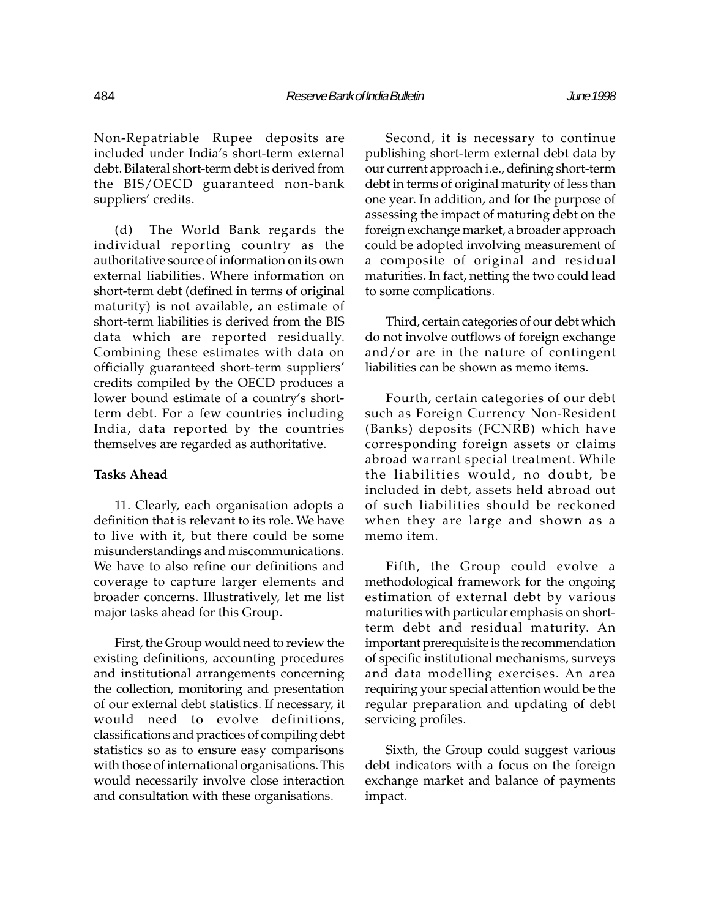Non-Repatriable Rupee deposits are included under India's short-term external debt. Bilateral short-term debt is derived from the BIS/OECD guaranteed non-bank suppliers' credits.

(d) The World Bank regards the individual reporting country as the authoritative source of information on its own external liabilities. Where information on short-term debt (defined in terms of original maturity) is not available, an estimate of short-term liabilities is derived from the BIS data which are reported residually. Combining these estimates with data on officially guaranteed short-term suppliers credits compiled by the OECD produces a lower bound estimate of a country's shortterm debt. For a few countries including India, data reported by the countries themselves are regarded as authoritative.

#### Tasks Ahead

11. Clearly, each organisation adopts a definition that is relevant to its role. We have to live with it, but there could be some misunderstandings and miscommunications. We have to also refine our definitions and coverage to capture larger elements and broader concerns. Illustratively, let me list major tasks ahead for this Group.

First, the Group would need to review the existing definitions, accounting procedures and institutional arrangements concerning the collection, monitoring and presentation of our external debt statistics. If necessary, it would need to evolve definitions, classifications and practices of compiling debt statistics so as to ensure easy comparisons with those of international organisations. This would necessarily involve close interaction and consultation with these organisations.

Second, it is necessary to continue publishing short-term external debt data by our current approach i.e., defining short-term debt in terms of original maturity of less than one year. In addition, and for the purpose of assessing the impact of maturing debt on the foreign exchange market, a broader approach could be adopted involving measurement of a composite of original and residual maturities. In fact, netting the two could lead to some complications.

Third, certain categories of our debt which do not involve outflows of foreign exchange and/or are in the nature of contingent liabilities can be shown as memo items.

Fourth, certain categories of our debt such as Foreign Currency Non-Resident (Banks) deposits (FCNRB) which have corresponding foreign assets or claims abroad warrant special treatment. While the liabilities would, no doubt, be included in debt, assets held abroad out of such liabilities should be reckoned when they are large and shown as a memo item.

Fifth, the Group could evolve a methodological framework for the ongoing estimation of external debt by various maturities with particular emphasis on shortterm debt and residual maturity. An important prerequisite is the recommendation of specific institutional mechanisms, surveys and data modelling exercises. An area requiring your special attention would be the regular preparation and updating of debt servicing profiles.

Sixth, the Group could suggest various debt indicators with a focus on the foreign exchange market and balance of payments impact.